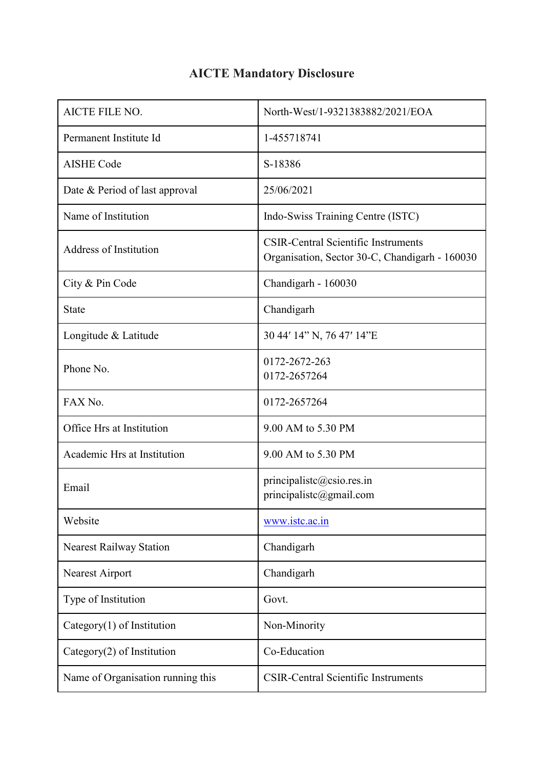| <b>AICTE FILE NO.</b>             | North-West/1-9321383882/2021/EOA                                                             |
|-----------------------------------|----------------------------------------------------------------------------------------------|
| Permanent Institute Id            | 1-455718741                                                                                  |
| <b>AISHE Code</b>                 | S-18386                                                                                      |
| Date & Period of last approval    | 25/06/2021                                                                                   |
| Name of Institution               | Indo-Swiss Training Centre (ISTC)                                                            |
| <b>Address of Institution</b>     | <b>CSIR-Central Scientific Instruments</b><br>Organisation, Sector 30-C, Chandigarh - 160030 |
| City & Pin Code                   | Chandigarh - 160030                                                                          |
| <b>State</b>                      | Chandigarh                                                                                   |
| Longitude & Latitude              | 30 44' 14" N, 76 47' 14"E                                                                    |
| Phone No.                         | 0172-2672-263<br>0172-2657264                                                                |
| FAX No.                           | 0172-2657264                                                                                 |
| Office Hrs at Institution         | 9.00 AM to 5.30 PM                                                                           |
| Academic Hrs at Institution       | 9.00 AM to 5.30 PM                                                                           |
| Email                             | principalistc@csio.res.in<br>principalistc@gmail.com                                         |
| Website                           | www.istc.ac.in                                                                               |
| <b>Nearest Railway Station</b>    | Chandigarh                                                                                   |
| Nearest Airport                   | Chandigarh                                                                                   |
| Type of Institution               | Govt.                                                                                        |
| Category $(1)$ of Institution     | Non-Minority                                                                                 |
| Category $(2)$ of Institution     | Co-Education                                                                                 |
| Name of Organisation running this | <b>CSIR-Central Scientific Instruments</b>                                                   |

## **AICTE Mandatory Disclosure**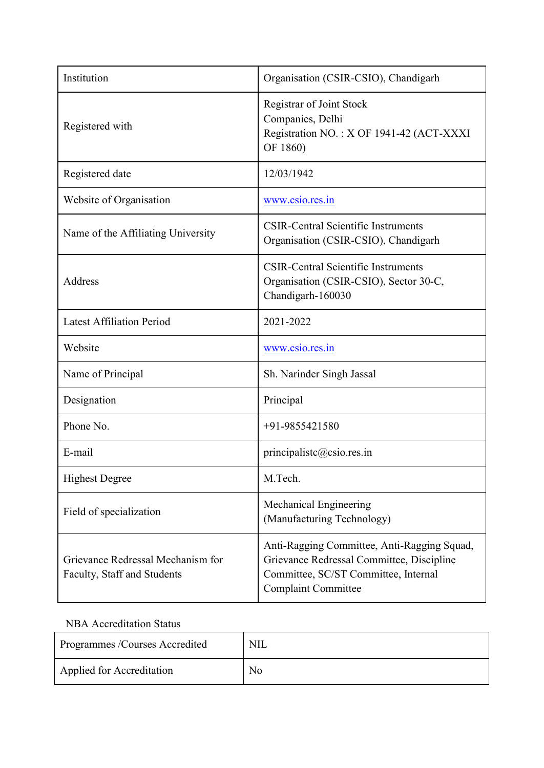| Institution                                                      | Organisation (CSIR-CSIO), Chandigarh                                                                                                                           |
|------------------------------------------------------------------|----------------------------------------------------------------------------------------------------------------------------------------------------------------|
| Registered with                                                  | <b>Registrar of Joint Stock</b><br>Companies, Delhi<br>Registration NO.: X OF 1941-42 (ACT-XXXI<br>OF 1860)                                                    |
| Registered date                                                  | 12/03/1942                                                                                                                                                     |
| Website of Organisation                                          | www.csio.res.in                                                                                                                                                |
| Name of the Affiliating University                               | <b>CSIR-Central Scientific Instruments</b><br>Organisation (CSIR-CSIO), Chandigarh                                                                             |
| Address                                                          | <b>CSIR-Central Scientific Instruments</b><br>Organisation (CSIR-CSIO), Sector 30-C,<br>Chandigarh-160030                                                      |
| <b>Latest Affiliation Period</b>                                 | 2021-2022                                                                                                                                                      |
| Website                                                          | www.csio.res.in                                                                                                                                                |
| Name of Principal                                                | Sh. Narinder Singh Jassal                                                                                                                                      |
| Designation                                                      | Principal                                                                                                                                                      |
| Phone No.                                                        | $+91-9855421580$                                                                                                                                               |
| E-mail                                                           | principalistc@csio.res.in                                                                                                                                      |
| <b>Highest Degree</b>                                            | M.Tech.                                                                                                                                                        |
| Field of specialization                                          | Mechanical Engineering<br>(Manufacturing Technology)                                                                                                           |
| Grievance Redressal Mechanism for<br>Faculty, Staff and Students | Anti-Ragging Committee, Anti-Ragging Squad,<br>Grievance Redressal Committee, Discipline<br>Committee, SC/ST Committee, Internal<br><b>Complaint Committee</b> |

## NBA Accreditation Status

| Programmes /Courses Accredited | <b>NIL</b>     |
|--------------------------------|----------------|
| Applied for Accreditation      | N <sub>o</sub> |